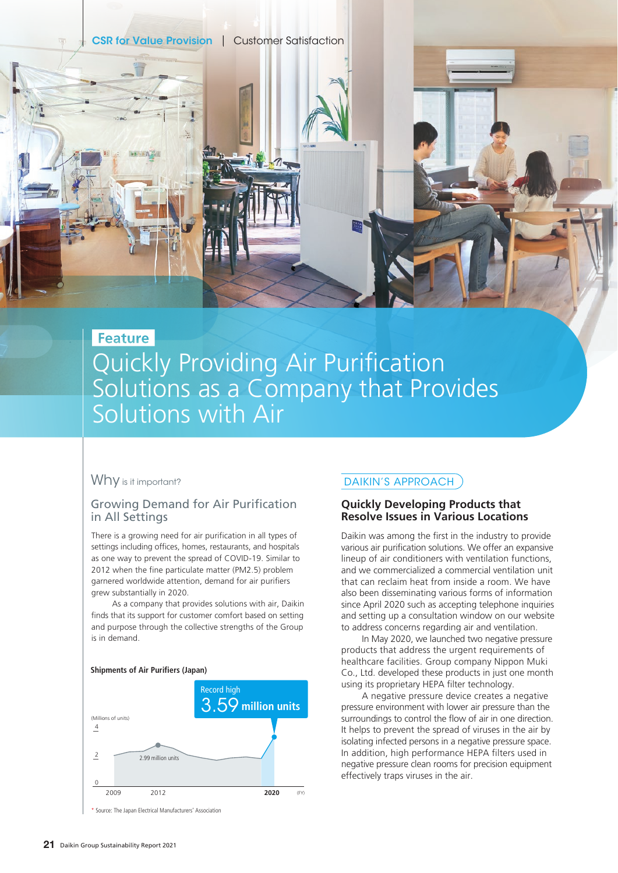**CSR for Value Provision | Customer Satisfaction** 

## Feature

# Quickly Providing Air Purification Solutions as a Company that Provides Solutions with Air

## Why is it important?

## Growing Demand for Air Purification in All Settings

There is a growing need for air purification in all types of settings including offices, homes, restaurants, and hospitals as one way to prevent the spread of COVID-19. Similar to 2012 when the fine particulate matter (PM2.5) problem garnered worldwide attention, demand for air purifiers grew substantially in 2020.

As a company that provides solutions with air, Daikin finds that its support for customer comfort based on setting and purpose through the collective strengths of the Group is in demand.

#### **Shipments of Air Purifiers (Japan)**



\* Source: The Japan Electrical Manufacturers' Association

## DAIKIN'S APPROACH

### **Quickly Developing Products that Resolve Issues in Various Locations**

Daikin was among the first in the industry to provide various air purification solutions. We offer an expansive lineup of air conditioners with ventilation functions, and we commercialized a commercial ventilation unit that can reclaim heat from inside a room. We have also been disseminating various forms of information since April 2020 such as accepting telephone inquiries and setting up a consultation window on our website to address concerns regarding air and ventilation.

In May 2020, we launched two negative pressure products that address the urgent requirements of healthcare facilities. Group company Nippon Muki Co., Ltd. developed these products in just one month using its proprietary HEPA filter technology.

A negative pressure device creates a negative pressure environment with lower air pressure than the surroundings to control the flow of air in one direction. It helps to prevent the spread of viruses in the air by isolating infected persons in a negative pressure space. In addition, high performance HEPA filters used in negative pressure clean rooms for precision equipment effectively traps viruses in the air.